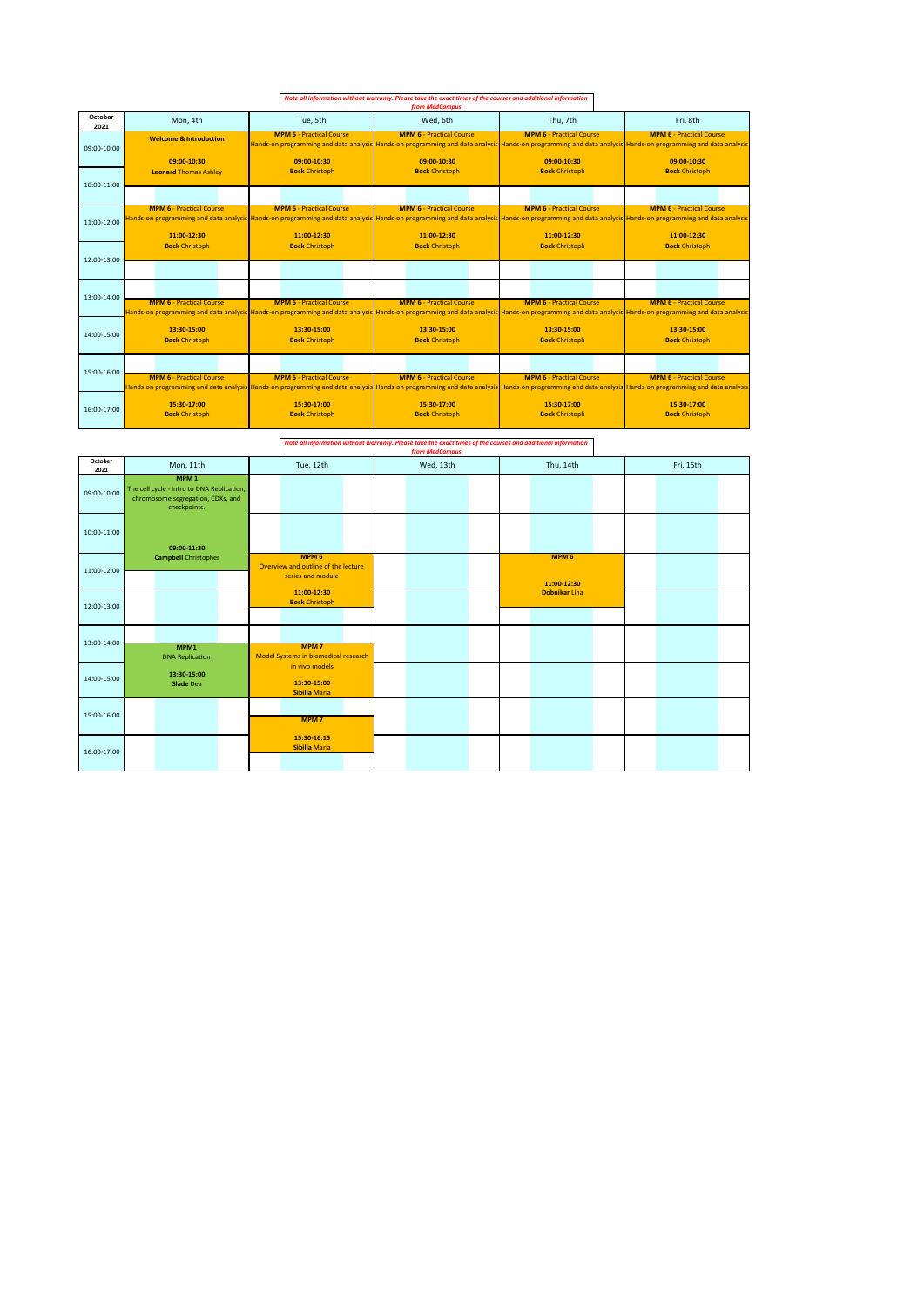|                 |                                                |                                                                                                                                                                                                                                                                                  | Note all information without warranty. Please take the exact times of the courses and additional information<br>from MedCampus |                                                |                                                                                                                                                                                                |
|-----------------|------------------------------------------------|----------------------------------------------------------------------------------------------------------------------------------------------------------------------------------------------------------------------------------------------------------------------------------|--------------------------------------------------------------------------------------------------------------------------------|------------------------------------------------|------------------------------------------------------------------------------------------------------------------------------------------------------------------------------------------------|
| October<br>2021 | Mon, 4th                                       | Tue, 5th                                                                                                                                                                                                                                                                         | Wed. 6th                                                                                                                       | Thu. 7th                                       | Fri. 8th                                                                                                                                                                                       |
| 09:00-10:00     | <b>Welcome &amp; Introduction</b>              | <b>MPM 6 - Practical Course</b>                                                                                                                                                                                                                                                  | <b>MPM 6 - Practical Course</b>                                                                                                | <b>MPM 6 - Practical Course</b>                | <b>MPM 6 - Practical Course</b><br>Hands-on programming and data analysis Hands-on programming and data analysis Hands-on programming and data analysis Hands-on programming and data analysis |
|                 | 09:00-10:30                                    | 09:00-10:30                                                                                                                                                                                                                                                                      | 09:00-10:30                                                                                                                    | 09:00-10:30                                    | 09:00-10:30                                                                                                                                                                                    |
| 10:00-11:00     | <b>Leonard Thomas Ashley</b>                   | <b>Bock Christoph</b>                                                                                                                                                                                                                                                            | <b>Bock Christoph</b>                                                                                                          | <b>Bock Christoph</b>                          | <b>Bock Christoph</b>                                                                                                                                                                          |
|                 |                                                |                                                                                                                                                                                                                                                                                  |                                                                                                                                |                                                |                                                                                                                                                                                                |
| 11:00-12:00     | <b>MPM 6 - Practical Course</b><br>11:00-12:30 | <b>MPM 6 - Practical Course</b><br>Hands-on programming and data analysis Hands-on programming and data analysis Hands-on programming and data analysis Hands-on programming and data analysis Hands-on programming and data analysis Hands-on programming and da<br>11:00-12:30 | <b>MPM 6 - Practical Course</b><br>11:00-12:30                                                                                 | <b>MPM 6 - Practical Course</b><br>11:00-12:30 | <b>MPM 6 - Practical Course</b><br>11:00-12:30                                                                                                                                                 |
|                 | <b>Bock Christoph</b>                          | <b>Bock Christoph</b>                                                                                                                                                                                                                                                            | <b>Bock Christoph</b>                                                                                                          | <b>Bock Christoph</b>                          | <b>Bock Christoph</b>                                                                                                                                                                          |
| 12:00-13:00     |                                                |                                                                                                                                                                                                                                                                                  |                                                                                                                                |                                                |                                                                                                                                                                                                |
| 13:00-14:00     |                                                |                                                                                                                                                                                                                                                                                  |                                                                                                                                |                                                |                                                                                                                                                                                                |
|                 | <b>MPM 6 - Practical Course</b>                | <b>MPM 6 - Practical Course</b><br>Hands-on programming and data analysis Hands-on programming and data analysis Hands-on programming and data analysis Hands-on programming and data analysis Hands-on programming and data analysis Hands-on programming and da                | <b>MPM 6 - Practical Course</b>                                                                                                | <b>MPM 6 - Practical Course</b>                | <b>MPM 6 - Practical Course</b>                                                                                                                                                                |
| 14:00-15:00     | 13:30-15:00<br><b>Bock Christoph</b>           | 13:30-15:00<br><b>Bock Christoph</b>                                                                                                                                                                                                                                             | 13:30-15:00<br><b>Bock Christoph</b>                                                                                           | 13:30-15:00<br><b>Bock Christoph</b>           | 13:30-15:00<br><b>Bock Christoph</b>                                                                                                                                                           |
| 15:00-16:00     |                                                |                                                                                                                                                                                                                                                                                  |                                                                                                                                |                                                |                                                                                                                                                                                                |
|                 | <b>MPM 6 - Practical Course</b>                | <b>MPM 6 - Practical Course</b><br>Hands-on programming and data analysis Hands-on programming and data analysis Hands-on programming and data analysis Hands-on programming and data analysis Hands-on programming and data analysis Hands-on programming and da                | <b>MPM 6 - Practical Course</b>                                                                                                | <b>MPM 6 - Practical Course</b>                | <b>MPM 6 - Practical Course</b>                                                                                                                                                                |
| 16:00-17:00     | 15:30-17:00<br><b>Bock Christoph</b>           | 15:30-17:00<br><b>Bock Christoph</b>                                                                                                                                                                                                                                             | 15:30-17:00<br><b>Bock Christoph</b>                                                                                           | 15:30-17:00<br><b>Bock Christoph</b>           | 15:30-17:00<br><b>Bock Christoph</b>                                                                                                                                                           |

*Note all information without warranty. Please take the exact times of the courses and additional information from MedCampus*

| October<br>2021 | Mon, 11th                                                                                                           | Tue, 12th                                                                    | Wed, 13th | Thu, 14th                       | Fri, 15th |
|-----------------|---------------------------------------------------------------------------------------------------------------------|------------------------------------------------------------------------------|-----------|---------------------------------|-----------|
| 09:00-10:00     | MPM <sub>1</sub><br>The cell cycle - Intro to DNA Replication,<br>chromosome segregation, CDKs, and<br>checkpoints. |                                                                              |           |                                 |           |
| 10:00-11:00     | 09:00-11:30                                                                                                         |                                                                              |           |                                 |           |
| 11:00-12:00     | <b>Campbell Christopher</b>                                                                                         | MPM <sub>6</sub><br>Overview and outline of the lecture<br>series and module |           | MPM <sub>6</sub><br>11:00-12:30 |           |
| 12:00-13:00     |                                                                                                                     | 11:00-12:30<br><b>Bock Christoph</b>                                         |           | <b>Dobnikar Lina</b>            |           |
| 13:00-14:00     | MPM1<br><b>DNA Replication</b>                                                                                      | MPM <sub>7</sub><br>Model Systems in biomedical research                     |           |                                 |           |
| 14:00-15:00     | 13:30-15:00<br><b>Slade Dea</b>                                                                                     | in vivo models<br>13:30-15:00<br><b>Sibilia Maria</b>                        |           |                                 |           |
| 15:00-16:00     |                                                                                                                     | MPM <sub>7</sub>                                                             |           |                                 |           |
| 16:00-17:00     |                                                                                                                     | 15:30-16:15<br><b>Sibilia Maria</b>                                          |           |                                 |           |